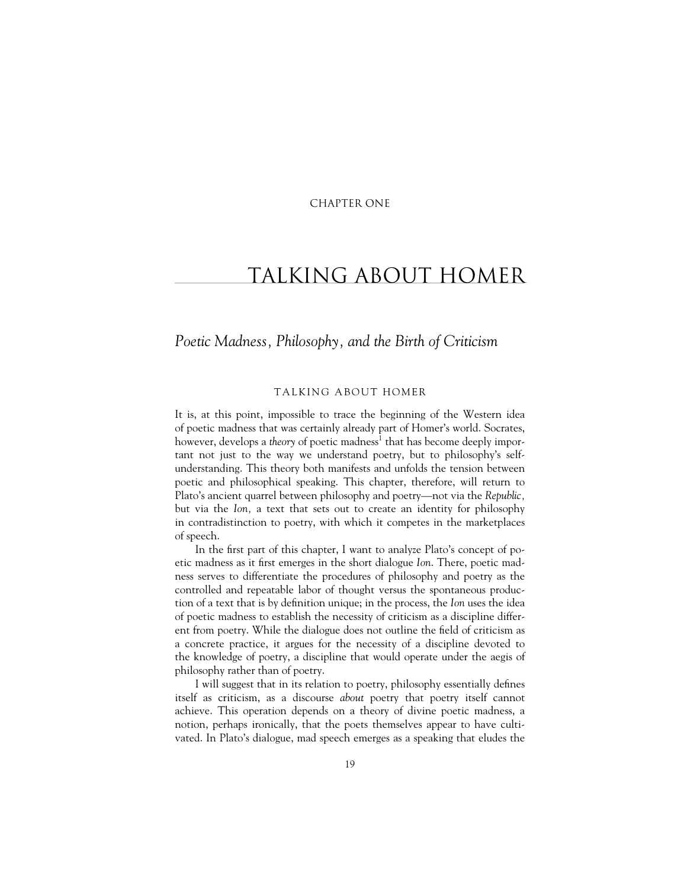#### CHAPTER ONE

# TALKING ABOUT HOMER

# *Poetic Madness, Philosophy, and the Birth of Criticism*

#### TALKING ABOUT HOMER

It is, at this point, impossible to trace the beginning of the Western idea of poetic madness that was certainly already part of Homer's world. Socrates, however, develops a *theory* of poetic madness<sup>1</sup> that has become deeply important not just to the way we understand poetry, but to philosophy's selfunderstanding. This theory both manifests and unfolds the tension between poetic and philosophical speaking. This chapter, therefore, will return to Plato's ancient quarrel between philosophy and poetry—not via the *Republic,* but via the *Ion,* a text that sets out to create an identity for philosophy in contradistinction to poetry, with which it competes in the marketplaces of speech.

In the first part of this chapter, I want to analyze Plato's concept of poetic madness as it first emerges in the short dialogue *Ion*. There, poetic madness serves to differentiate the procedures of philosophy and poetry as the controlled and repeatable labor of thought versus the spontaneous production of a text that is by definition unique; in the process, the *Ion* uses the idea of poetic madness to establish the necessity of criticism as a discipline different from poetry. While the dialogue does not outline the field of criticism as a concrete practice, it argues for the necessity of a discipline devoted to the knowledge of poetry, a discipline that would operate under the aegis of philosophy rather than of poetry.

I will suggest that in its relation to poetry, philosophy essentially defines itself as criticism, as a discourse *about* poetry that poetry itself cannot achieve. This operation depends on a theory of divine poetic madness, a notion, perhaps ironically, that the poets themselves appear to have cultivated. In Plato's dialogue, mad speech emerges as a speaking that eludes the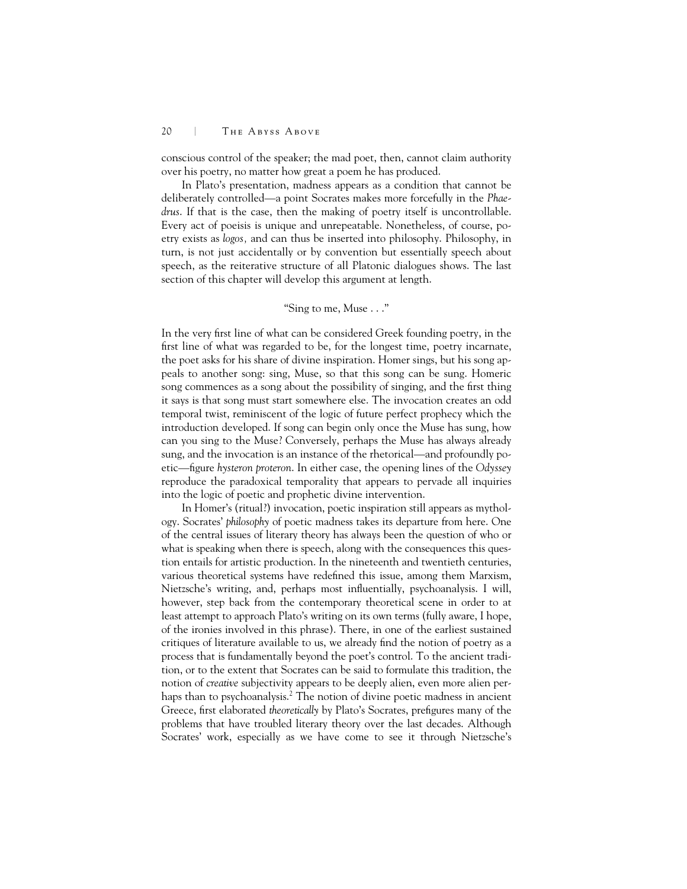conscious control of the speaker; the mad poet, then, cannot claim authority over his poetry, no matter how great a poem he has produced.

In Plato's presentation, madness appears as a condition that cannot be deliberately controlled—a point Socrates makes more forcefully in the *Phaedrus*. If that is the case, then the making of poetry itself is uncontrollable. Every act of poeisis is unique and unrepeatable. Nonetheless, of course, poetry exists as *logos,* and can thus be inserted into philosophy. Philosophy, in turn, is not just accidentally or by convention but essentially speech about speech, as the reiterative structure of all Platonic dialogues shows. The last section of this chapter will develop this argument at length.

## "Sing to me, Muse . . ."

In the very first line of what can be considered Greek founding poetry, in the first line of what was regarded to be, for the longest time, poetry incarnate, the poet asks for his share of divine inspiration. Homer sings, but his song appeals to another song: sing, Muse, so that this song can be sung. Homeric song commences as a song about the possibility of singing, and the first thing it says is that song must start somewhere else. The invocation creates an odd temporal twist, reminiscent of the logic of future perfect prophecy which the introduction developed. If song can begin only once the Muse has sung, how can you sing to the Muse? Conversely, perhaps the Muse has always already sung, and the invocation is an instance of the rhetorical—and profoundly poetic—figure *hysteron proteron*. In either case, the opening lines of the *Odyssey* reproduce the paradoxical temporality that appears to pervade all inquiries into the logic of poetic and prophetic divine intervention.

In Homer's (ritual?) invocation, poetic inspiration still appears as mythology. Socrates' *philosophy* of poetic madness takes its departure from here. One of the central issues of literary theory has always been the question of who or what is speaking when there is speech, along with the consequences this question entails for artistic production. In the nineteenth and twentieth centuries, various theoretical systems have redefined this issue, among them Marxism, Nietzsche's writing, and, perhaps most influentially, psychoanalysis. I will, however, step back from the contemporary theoretical scene in order to at least attempt to approach Plato's writing on its own terms (fully aware, I hope, of the ironies involved in this phrase). There, in one of the earliest sustained critiques of literature available to us, we already find the notion of poetry as a process that is fundamentally beyond the poet's control. To the ancient tradition, or to the extent that Socrates can be said to formulate this tradition, the notion of *creative* subjectivity appears to be deeply alien, even more alien perhaps than to psychoanalysis.<sup>2</sup> The notion of divine poetic madness in ancient Greece, first elaborated *theoretically* by Plato's Socrates, prefigures many of the problems that have troubled literary theory over the last decades. Although Socrates' work, especially as we have come to see it through Nietzsche's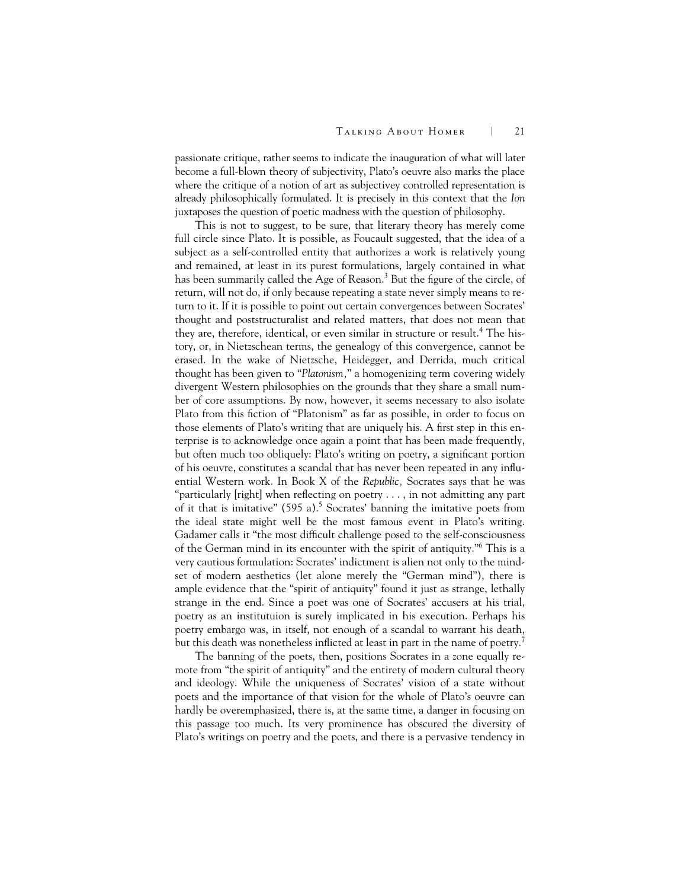passionate critique, rather seems to indicate the inauguration of what will later become a full-blown theory of subjectivity, Plato's oeuvre also marks the place where the critique of a notion of art as subjectivey controlled representation is already philosophically formulated. It is precisely in this context that the *Ion* juxtaposes the question of poetic madness with the question of philosophy.

This is not to suggest, to be sure, that literary theory has merely come full circle since Plato. It is possible, as Foucault suggested, that the idea of a subject as a self-controlled entity that authorizes a work is relatively young and remained, at least in its purest formulations, largely contained in what has been summarily called the Age of Reason.<sup>3</sup> But the figure of the circle, of return, will not do, if only because repeating a state never simply means to return to it. If it is possible to point out certain convergences between Socrates' thought and poststructuralist and related matters, that does not mean that they are, therefore, identical, or even similar in structure or result.<sup>4</sup> The history, or, in Nietzschean terms, the genealogy of this convergence, cannot be erased. In the wake of Nietzsche, Heidegger, and Derrida, much critical thought has been given to "*Platonism,*" a homogenizing term covering widely divergent Western philosophies on the grounds that they share a small number of core assumptions. By now, however, it seems necessary to also isolate Plato from this fiction of "Platonism" as far as possible, in order to focus on those elements of Plato's writing that are uniquely his. A first step in this enterprise is to acknowledge once again a point that has been made frequently, but often much too obliquely: Plato's writing on poetry, a significant portion of his oeuvre, constitutes a scandal that has never been repeated in any influential Western work. In Book X of the *Republic,* Socrates says that he was "particularly [right] when reflecting on poetry . . . , in not admitting any part of it that is imitative"  $(595 a)$ .<sup>5</sup> Socrates' banning the imitative poets from the ideal state might well be the most famous event in Plato's writing. Gadamer calls it "the most difficult challenge posed to the self-consciousness of the German mind in its encounter with the spirit of antiquity."6 This is a very cautious formulation: Socrates' indictment is alien not only to the mindset of modern aesthetics (let alone merely the "German mind"), there is ample evidence that the "spirit of antiquity" found it just as strange, lethally strange in the end. Since a poet was one of Socrates' accusers at his trial, poetry as an institutuion is surely implicated in his execution. Perhaps his poetry embargo was, in itself, not enough of a scandal to warrant his death, but this death was nonetheless inflicted at least in part in the name of poetry.<sup>7</sup>

The banning of the poets, then, positions Socrates in a zone equally remote from "the spirit of antiquity" and the entirety of modern cultural theory and ideology. While the uniqueness of Socrates' vision of a state without poets and the importance of that vision for the whole of Plato's oeuvre can hardly be overemphasized, there is, at the same time, a danger in focusing on this passage too much. Its very prominence has obscured the diversity of Plato's writings on poetry and the poets, and there is a pervasive tendency in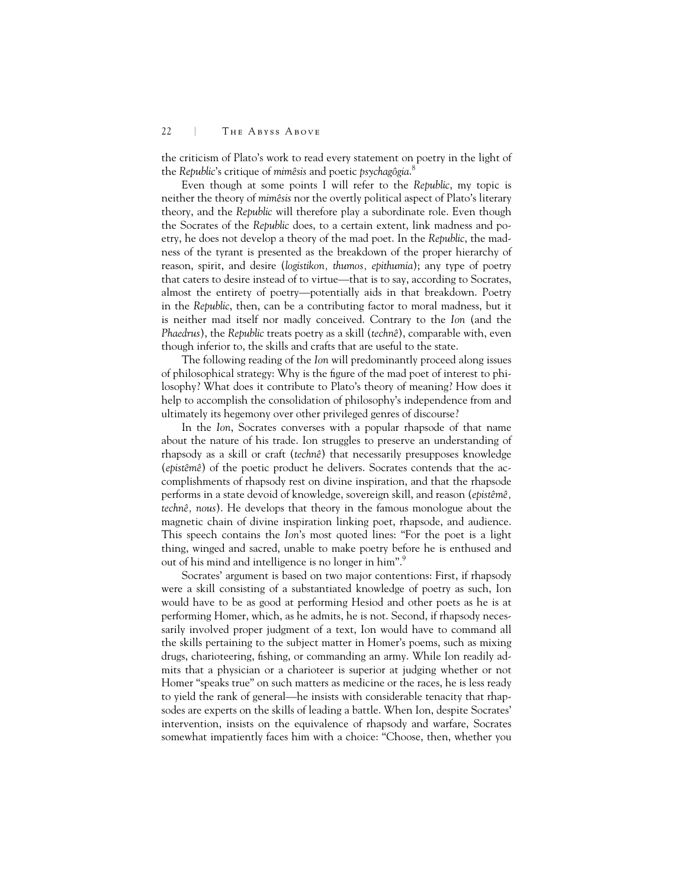the criticism of Plato's work to read every statement on poetry in the light of the *Republic*'s critique of *mimêsis* and poetic *psychagôgia*. 8

Even though at some points I will refer to the *Republic*, my topic is neither the theory of *mimêsis* nor the overtly political aspect of Plato's literary theory, and the *Republic* will therefore play a subordinate role. Even though the Socrates of the *Republic* does, to a certain extent, link madness and poetry, he does not develop a theory of the mad poet. In the *Republic*, the madness of the tyrant is presented as the breakdown of the proper hierarchy of reason, spirit, and desire (*logistikon, thumos, epithumia*); any type of poetry that caters to desire instead of to virtue—that is to say, according to Socrates, almost the entirety of poetry—potentially aids in that breakdown. Poetry in the *Republic*, then, can be a contributing factor to moral madness, but it is neither mad itself nor madly conceived. Contrary to the *Ion* (and the *Phaedrus*), the *Republic* treats poetry as a skill (*technê*), comparable with, even though inferior to, the skills and crafts that are useful to the state.

The following reading of the *Ion* will predominantly proceed along issues of philosophical strategy: Why is the figure of the mad poet of interest to philosophy? What does it contribute to Plato's theory of meaning? How does it help to accomplish the consolidation of philosophy's independence from and ultimately its hegemony over other privileged genres of discourse?

In the *Ion*, Socrates converses with a popular rhapsode of that name about the nature of his trade. Ion struggles to preserve an understanding of rhapsody as a skill or craft (*technê*) that necessarily presupposes knowledge (*epistêmê*) of the poetic product he delivers. Socrates contends that the accomplishments of rhapsody rest on divine inspiration, and that the rhapsode performs in a state devoid of knowledge, sovereign skill, and reason (*epistêmê, technê, nous*). He develops that theory in the famous monologue about the magnetic chain of divine inspiration linking poet, rhapsode, and audience. This speech contains the *Ion*'s most quoted lines: "For the poet is a light thing, winged and sacred, unable to make poetry before he is enthused and out of his mind and intelligence is no longer in him".<sup>9</sup>

Socrates' argument is based on two major contentions: First, if rhapsody were a skill consisting of a substantiated knowledge of poetry as such, Ion would have to be as good at performing Hesiod and other poets as he is at performing Homer, which, as he admits, he is not. Second, if rhapsody necessarily involved proper judgment of a text, Ion would have to command all the skills pertaining to the subject matter in Homer's poems, such as mixing drugs, charioteering, fishing, or commanding an army. While Ion readily admits that a physician or a charioteer is superior at judging whether or not Homer "speaks true" on such matters as medicine or the races, he is less ready to yield the rank of general—he insists with considerable tenacity that rhapsodes are experts on the skills of leading a battle. When Ion, despite Socrates' intervention, insists on the equivalence of rhapsody and warfare, Socrates somewhat impatiently faces him with a choice: "Choose, then, whether you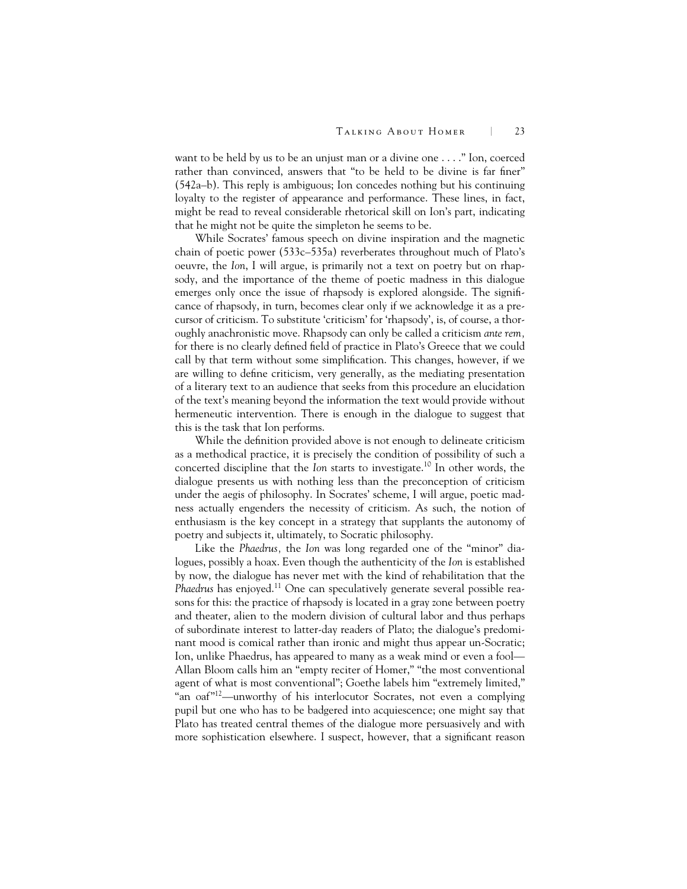want to be held by us to be an unjust man or a divine one . . . ." Ion, coerced rather than convinced, answers that "to be held to be divine is far finer" (542a–b). This reply is ambiguous; Ion concedes nothing but his continuing loyalty to the register of appearance and performance. These lines, in fact, might be read to reveal considerable rhetorical skill on Ion's part, indicating that he might not be quite the simpleton he seems to be.

While Socrates' famous speech on divine inspiration and the magnetic chain of poetic power (533c–535a) reverberates throughout much of Plato's oeuvre, the *Ion*, I will argue, is primarily not a text on poetry but on rhapsody, and the importance of the theme of poetic madness in this dialogue emerges only once the issue of rhapsody is explored alongside. The significance of rhapsody, in turn, becomes clear only if we acknowledge it as a precursor of criticism. To substitute 'criticism' for 'rhapsody', is, of course, a thoroughly anachronistic move. Rhapsody can only be called a criticism *ante rem,* for there is no clearly defined field of practice in Plato's Greece that we could call by that term without some simplification. This changes, however, if we are willing to define criticism, very generally, as the mediating presentation of a literary text to an audience that seeks from this procedure an elucidation of the text's meaning beyond the information the text would provide without hermeneutic intervention. There is enough in the dialogue to suggest that this is the task that Ion performs.

While the definition provided above is not enough to delineate criticism as a methodical practice, it is precisely the condition of possibility of such a concerted discipline that the *Ion* starts to investigate.<sup>10</sup> In other words, the dialogue presents us with nothing less than the preconception of criticism under the aegis of philosophy. In Socrates' scheme, I will argue, poetic madness actually engenders the necessity of criticism. As such, the notion of enthusiasm is the key concept in a strategy that supplants the autonomy of poetry and subjects it, ultimately, to Socratic philosophy.

Like the *Phaedrus,* the *Ion* was long regarded one of the "minor" dialogues, possibly a hoax. Even though the authenticity of the *Ion* is established by now, the dialogue has never met with the kind of rehabilitation that the *Phaedrus* has enjoyed.<sup>11</sup> One can speculatively generate several possible reasons for this: the practice of rhapsody is located in a gray zone between poetry and theater, alien to the modern division of cultural labor and thus perhaps of subordinate interest to latter-day readers of Plato; the dialogue's predominant mood is comical rather than ironic and might thus appear un-Socratic; Ion, unlike Phaedrus, has appeared to many as a weak mind or even a fool— Allan Bloom calls him an "empty reciter of Homer," "the most conventional agent of what is most conventional"; Goethe labels him "extremely limited," "an oaf"<sup>12</sup>—unworthy of his interlocutor Socrates, not even a complying pupil but one who has to be badgered into acquiescence; one might say that Plato has treated central themes of the dialogue more persuasively and with more sophistication elsewhere. I suspect, however, that a significant reason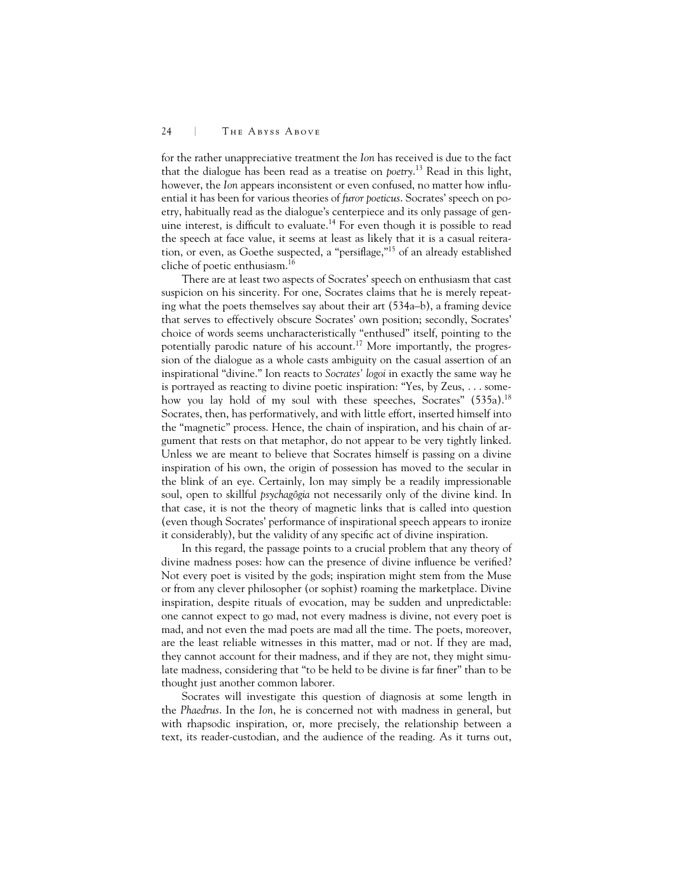for the rather unappreciative treatment the *Ion* has received is due to the fact that the dialogue has been read as a treatise on *poetry*. <sup>13</sup> Read in this light, however, the *Ion* appears inconsistent or even confused, no matter how influential it has been for various theories of *furor poeticus*. Socrates' speech on poetry, habitually read as the dialogue's centerpiece and its only passage of genuine interest, is difficult to evaluate.<sup>14</sup> For even though it is possible to read the speech at face value, it seems at least as likely that it is a casual reiteration, or even, as Goethe suspected, a "persiflage,"15 of an already established cliche of poetic enthusiasm.16

There are at least two aspects of Socrates' speech on enthusiasm that cast suspicion on his sincerity. For one, Socrates claims that he is merely repeating what the poets themselves say about their art (534a–b), a framing device that serves to effectively obscure Socrates' own position; secondly, Socrates' choice of words seems uncharacteristically "enthused" itself, pointing to the potentially parodic nature of his account.<sup>17</sup> More importantly, the progression of the dialogue as a whole casts ambiguity on the casual assertion of an inspirational "divine." Ion reacts to *Socrates' logoi* in exactly the same way he is portrayed as reacting to divine poetic inspiration: "Yes, by Zeus, . . . somehow you lay hold of my soul with these speeches, Socrates" (535a).<sup>18</sup> Socrates, then, has performatively, and with little effort, inserted himself into the "magnetic" process. Hence, the chain of inspiration, and his chain of argument that rests on that metaphor, do not appear to be very tightly linked. Unless we are meant to believe that Socrates himself is passing on a divine inspiration of his own, the origin of possession has moved to the secular in the blink of an eye. Certainly, Ion may simply be a readily impressionable soul, open to skillful *psychagôgia* not necessarily only of the divine kind. In that case, it is not the theory of magnetic links that is called into question (even though Socrates' performance of inspirational speech appears to ironize it considerably), but the validity of any specific act of divine inspiration.

In this regard, the passage points to a crucial problem that any theory of divine madness poses: how can the presence of divine influence be verified? Not every poet is visited by the gods; inspiration might stem from the Muse or from any clever philosopher (or sophist) roaming the marketplace. Divine inspiration, despite rituals of evocation, may be sudden and unpredictable: one cannot expect to go mad, not every madness is divine, not every poet is mad, and not even the mad poets are mad all the time. The poets, moreover, are the least reliable witnesses in this matter, mad or not. If they are mad, they cannot account for their madness, and if they are not, they might simulate madness, considering that "to be held to be divine is far finer" than to be thought just another common laborer.

Socrates will investigate this question of diagnosis at some length in the *Phaedrus*. In the *Ion*, he is concerned not with madness in general, but with rhapsodic inspiration, or, more precisely, the relationship between a text, its reader-custodian, and the audience of the reading. As it turns out,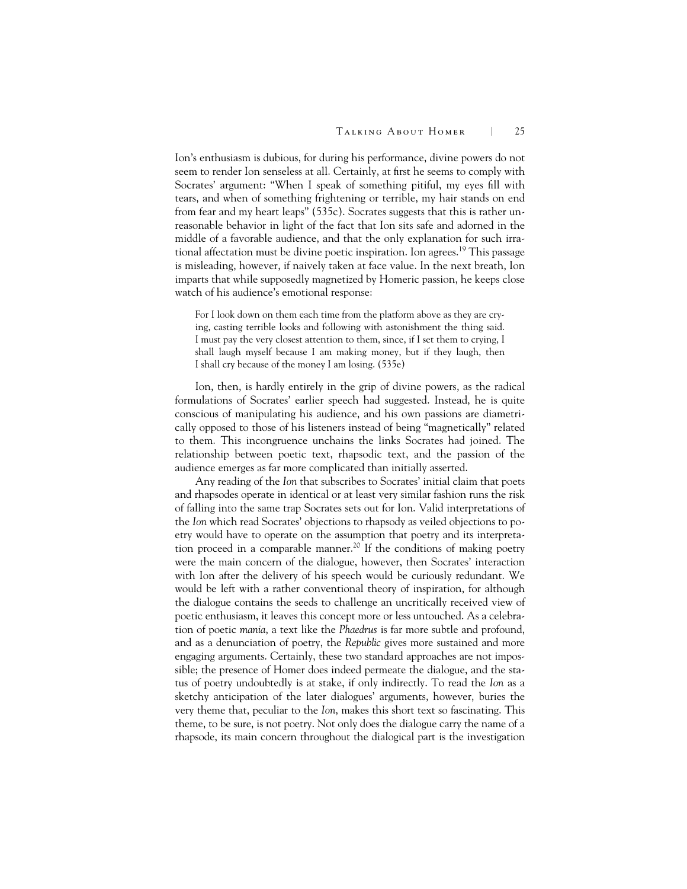Ion's enthusiasm is dubious, for during his performance, divine powers do not seem to render Ion senseless at all. Certainly, at first he seems to comply with Socrates' argument: "When I speak of something pitiful, my eyes fill with tears, and when of something frightening or terrible, my hair stands on end from fear and my heart leaps" (535c). Socrates suggests that this is rather unreasonable behavior in light of the fact that Ion sits safe and adorned in the middle of a favorable audience, and that the only explanation for such irrational affectation must be divine poetic inspiration. Ion agrees.<sup>19</sup> This passage is misleading, however, if naively taken at face value. In the next breath, Ion imparts that while supposedly magnetized by Homeric passion, he keeps close watch of his audience's emotional response:

For I look down on them each time from the platform above as they are crying, casting terrible looks and following with astonishment the thing said. I must pay the very closest attention to them, since, if I set them to crying, I shall laugh myself because I am making money, but if they laugh, then I shall cry because of the money I am losing. (535e)

Ion, then, is hardly entirely in the grip of divine powers, as the radical formulations of Socrates' earlier speech had suggested. Instead, he is quite conscious of manipulating his audience, and his own passions are diametrically opposed to those of his listeners instead of being "magnetically" related to them. This incongruence unchains the links Socrates had joined. The relationship between poetic text, rhapsodic text, and the passion of the audience emerges as far more complicated than initially asserted.

Any reading of the *Ion* that subscribes to Socrates' initial claim that poets and rhapsodes operate in identical or at least very similar fashion runs the risk of falling into the same trap Socrates sets out for Ion. Valid interpretations of the *Ion* which read Socrates' objections to rhapsody as veiled objections to poetry would have to operate on the assumption that poetry and its interpretation proceed in a comparable manner.<sup>20</sup> If the conditions of making poetry were the main concern of the dialogue, however, then Socrates' interaction with Ion after the delivery of his speech would be curiously redundant. We would be left with a rather conventional theory of inspiration, for although the dialogue contains the seeds to challenge an uncritically received view of poetic enthusiasm, it leaves this concept more or less untouched. As a celebration of poetic *mania*, a text like the *Phaedrus* is far more subtle and profound, and as a denunciation of poetry, the *Republic* gives more sustained and more engaging arguments. Certainly, these two standard approaches are not impossible; the presence of Homer does indeed permeate the dialogue, and the status of poetry undoubtedly is at stake, if only indirectly. To read the *Ion* as a sketchy anticipation of the later dialogues' arguments, however, buries the very theme that, peculiar to the *Ion*, makes this short text so fascinating. This theme, to be sure, is not poetry. Not only does the dialogue carry the name of a rhapsode, its main concern throughout the dialogical part is the investigation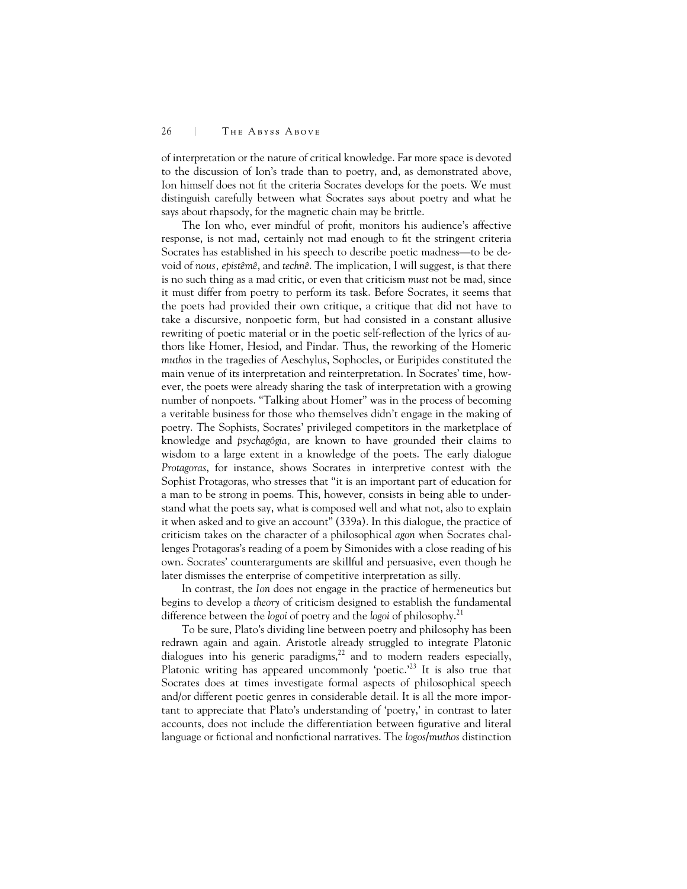of interpretation or the nature of critical knowledge. Far more space is devoted to the discussion of Ion's trade than to poetry, and, as demonstrated above, Ion himself does not fit the criteria Socrates develops for the poets. We must distinguish carefully between what Socrates says about poetry and what he says about rhapsody, for the magnetic chain may be brittle.

The Ion who, ever mindful of profit, monitors his audience's affective response, is not mad, certainly not mad enough to fit the stringent criteria Socrates has established in his speech to describe poetic madness—to be devoid of *nous, epistêmê*, and *technê*. The implication, I will suggest, is that there is no such thing as a mad critic, or even that criticism *must* not be mad, since it must differ from poetry to perform its task. Before Socrates, it seems that the poets had provided their own critique, a critique that did not have to take a discursive, nonpoetic form, but had consisted in a constant allusive rewriting of poetic material or in the poetic self-reflection of the lyrics of authors like Homer, Hesiod, and Pindar. Thus, the reworking of the Homeric *muthos* in the tragedies of Aeschylus, Sophocles, or Euripides constituted the main venue of its interpretation and reinterpretation. In Socrates' time, however, the poets were already sharing the task of interpretation with a growing number of nonpoets. "Talking about Homer" was in the process of becoming a veritable business for those who themselves didn't engage in the making of poetry. The Sophists, Socrates' privileged competitors in the marketplace of knowledge and *psychagôgia,* are known to have grounded their claims to wisdom to a large extent in a knowledge of the poets. The early dialogue *Protagoras*, for instance, shows Socrates in interpretive contest with the Sophist Protagoras, who stresses that "it is an important part of education for a man to be strong in poems. This, however, consists in being able to understand what the poets say, what is composed well and what not, also to explain it when asked and to give an account" (339a). In this dialogue, the practice of criticism takes on the character of a philosophical *agon* when Socrates challenges Protagoras's reading of a poem by Simonides with a close reading of his own. Socrates' counterarguments are skillful and persuasive, even though he later dismisses the enterprise of competitive interpretation as silly.

In contrast, the *Ion* does not engage in the practice of hermeneutics but begins to develop a *theory* of criticism designed to establish the fundamental difference between the *logoi* of poetry and the *logoi* of philosophy.<sup>21</sup>

To be sure, Plato's dividing line between poetry and philosophy has been redrawn again and again. Aristotle already struggled to integrate Platonic dialogues into his generic paradigms, $^{22}$  and to modern readers especially, Platonic writing has appeared uncommonly 'poetic.'<sup>23</sup> It is also true that Socrates does at times investigate formal aspects of philosophical speech and/or different poetic genres in considerable detail. It is all the more important to appreciate that Plato's understanding of 'poetry,' in contrast to later accounts, does not include the differentiation between figurative and literal language or fictional and nonfictional narratives. The *logos/muthos* distinction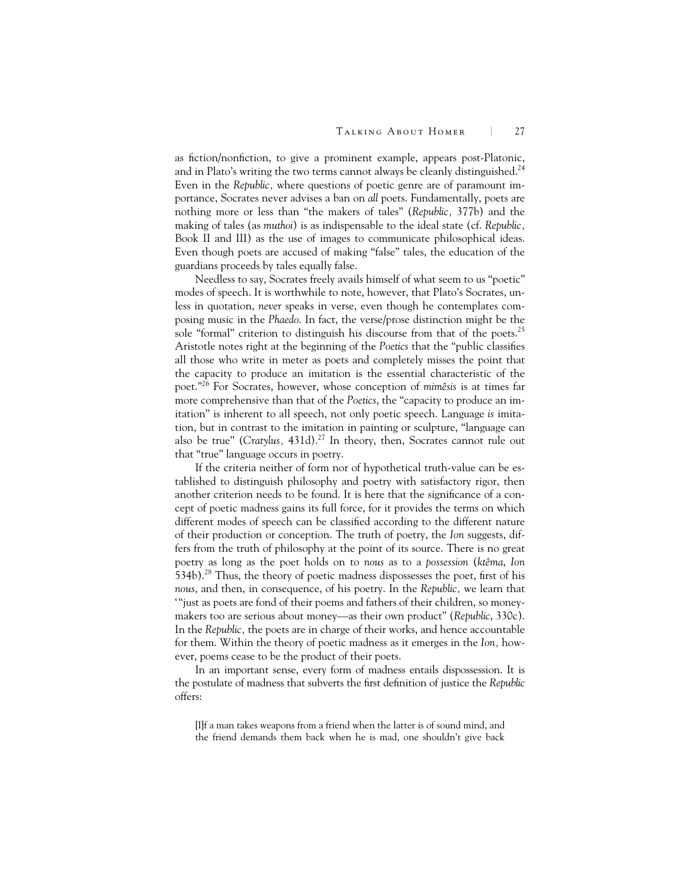as fiction/nonfiction, to give a prominent example, appears post-Platonic, and in Plato's writing the two terms cannot always be cleanly distinguished.<sup>24</sup> Even in the *Republic,* where questions of poetic genre are of paramount importance, Socrates never advises a ban on *all* poets. Fundamentally, poets are nothing more or less than "the makers of tales" (*Republic,* 377b) and the making of tales (as *muthoi*) is as indispensable to the ideal state (cf. *Republic,* Book II and III) as the use of images to communicate philosophical ideas. Even though poets are accused of making "false" tales, the education of the guardians proceeds by tales equally false.

Needless to say, Socrates freely avails himself of what seem to us "poetic" modes of speech. It is worthwhile to note, however, that Plato's Socrates, unless in quotation, *never* speaks in verse, even though he contemplates composing music in the *Phaedo*. In fact, the verse/prose distinction might be the sole "formal" criterion to distinguish his discourse from that of the poets.<sup>25</sup> Aristotle notes right at the beginning of the *Poetics* that the "public classifies all those who write in meter as poets and completely misses the point that the capacity to produce an imitation is the essential characteristic of the poet."<sup>26</sup> For Socrates, however, whose conception of *mimêsis* is at times far more comprehensive than that of the *Poetics*, the "capacity to produce an imitation" is inherent to all speech, not only poetic speech. Language *is* imitation, but in contrast to the imitation in painting or sculpture, "language can also be true" (*Cratylus*, 431d).<sup>27</sup> In theory, then, Socrates cannot rule out that "true" language occurs in poetry.

If the criteria neither of form nor of hypothetical truth-value can be established to distinguish philosophy and poetry with satisfactory rigor, then another criterion needs to be found. It is here that the significance of a concept of poetic madness gains its full force, for it provides the terms on which different modes of speech can be classified according to the different nature of their production or conception. The truth of poetry, the *Ion* suggests, differs from the truth of philosophy at the point of its source. There is no great poetry as long as the poet holds on to *nous* as to a *possession* (*ktêma*, *Ion* 534b).28 Thus, the theory of poetic madness dispossesses the poet, first of his *nous*, and then, in consequence, of his poetry. In the *Republic,* we learn that '"just as poets are fond of their poems and fathers of their children, so moneymakers too are serious about money—as their own product" (*Republic*, 330c). In the *Republic,* the poets are in charge of their works, and hence accountable for them. Within the theory of poetic madness as it emerges in the *Ion,* however, poems cease to be the product of their poets.

In an important sense, every form of madness entails dispossession. It is the postulate of madness that subverts the first definition of justice the *Republic* offers:

[I]f a man takes weapons from a friend when the latter is of sound mind, and the friend demands them back when he is mad, one shouldn't give back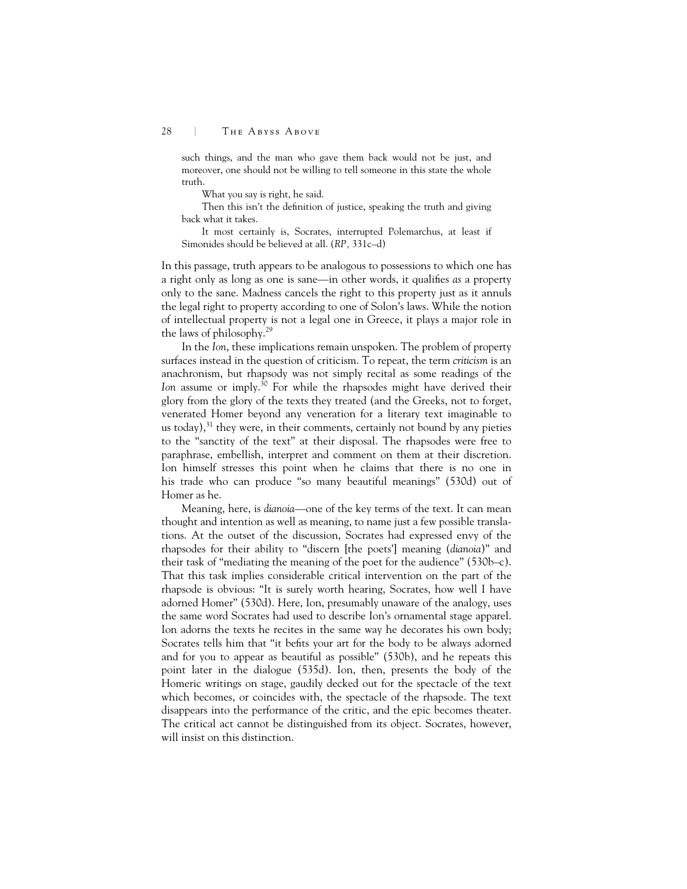such things, and the man who gave them back would not be just, and moreover, one should not be willing to tell someone in this state the whole truth.

What you say is right, he said.

Then this isn't the definition of justice, speaking the truth and giving back what it takes.

It most certainly is, Socrates, interrupted Polemarchus, at least if Simonides should be believed at all. (*RP,* 331c–d)

In this passage, truth appears to be analogous to possessions to which one has a right only as long as one is sane—in other words, it qualifies *as* a property only to the sane. Madness cancels the right to this property just as it annuls the legal right to property according to one of Solon's laws. While the notion of intellectual property is not a legal one in Greece, it plays a major role in the laws of philosophy.<sup>29</sup>

In the *Ion*, these implications remain unspoken. The problem of property surfaces instead in the question of criticism. To repeat, the term *criticism* is an anachronism, but rhapsody was not simply recital as some readings of the *Ion* assume or imply.<sup>30</sup> For while the rhapsodes might have derived their glory from the glory of the texts they treated (and the Greeks, not to forget, venerated Homer beyond any veneration for a literary text imaginable to us today), $31$  they were, in their comments, certainly not bound by any pieties to the "sanctity of the text" at their disposal. The rhapsodes were free to paraphrase, embellish, interpret and comment on them at their discretion. Ion himself stresses this point when he claims that there is no one in his trade who can produce "so many beautiful meanings" (530d) out of Homer as he.

Meaning, here, is *dianoia*—one of the key terms of the text. It can mean thought and intention as well as meaning, to name just a few possible translations. At the outset of the discussion, Socrates had expressed envy of the rhapsodes for their ability to "discern [the poets'] meaning (*dianoia*)" and their task of "mediating the meaning of the poet for the audience" (530b–c). That this task implies considerable critical intervention on the part of the rhapsode is obvious: "It is surely worth hearing, Socrates, how well I have adorned Homer" (530d). Here, Ion, presumably unaware of the analogy, uses the same word Socrates had used to describe Ion's ornamental stage apparel. Ion adorns the texts he recites in the same way he decorates his own body; Socrates tells him that "it befits your art for the body to be always adorned and for you to appear as beautiful as possible" (530b), and he repeats this point later in the dialogue (535d). Ion, then, presents the body of the Homeric writings on stage, gaudily decked out for the spectacle of the text which becomes, or coincides with, the spectacle of the rhapsode. The text disappears into the performance of the critic, and the epic becomes theater. The critical act cannot be distinguished from its object. Socrates, however, will insist on this distinction.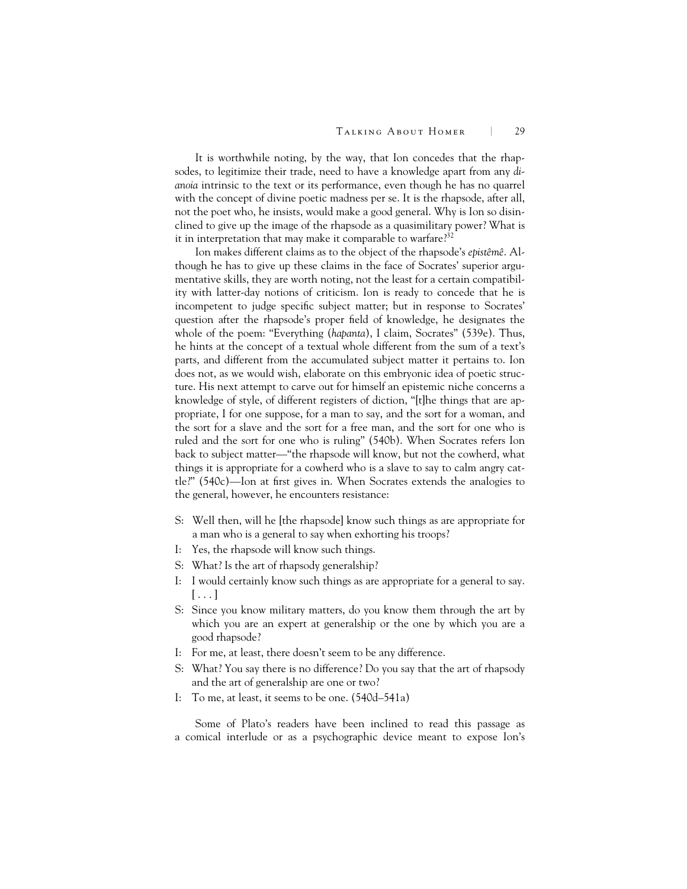It is worthwhile noting, by the way, that Ion concedes that the rhapsodes, to legitimize their trade, need to have a knowledge apart from any *dianoia* intrinsic to the text or its performance, even though he has no quarrel with the concept of divine poetic madness per se. It is the rhapsode, after all, not the poet who, he insists, would make a good general. Why is Ion so disinclined to give up the image of the rhapsode as a quasimilitary power? What is it in interpretation that may make it comparable to warfare?<sup>32</sup>

Ion makes different claims as to the object of the rhapsode's *epistêmê*. Although he has to give up these claims in the face of Socrates' superior argumentative skills, they are worth noting, not the least for a certain compatibility with latter-day notions of criticism. Ion is ready to concede that he is incompetent to judge specific subject matter; but in response to Socrates' question after the rhapsode's proper field of knowledge, he designates the whole of the poem: "Everything (*hapanta*), I claim, Socrates" (539e). Thus, he hints at the concept of a textual whole different from the sum of a text's parts, and different from the accumulated subject matter it pertains to. Ion does not, as we would wish, elaborate on this embryonic idea of poetic structure. His next attempt to carve out for himself an epistemic niche concerns a knowledge of style, of different registers of diction, "[t]he things that are appropriate, I for one suppose, for a man to say, and the sort for a woman, and the sort for a slave and the sort for a free man, and the sort for one who is ruled and the sort for one who is ruling" (540b). When Socrates refers Ion back to subject matter—"the rhapsode will know, but not the cowherd, what things it is appropriate for a cowherd who is a slave to say to calm angry cattle?" (540c)—Ion at first gives in. When Socrates extends the analogies to the general, however, he encounters resistance:

- S: Well then, will he [the rhapsode] know such things as are appropriate for a man who is a general to say when exhorting his troops?
- I: Yes, the rhapsode will know such things.
- S: What? Is the art of rhapsody generalship?
- I: I would certainly know such things as are appropriate for a general to say. [...]
- S: Since you know military matters, do you know them through the art by which you are an expert at generalship or the one by which you are a good rhapsode?
- I: For me, at least, there doesn't seem to be any difference.
- S: What? You say there is no difference? Do you say that the art of rhapsody and the art of generalship are one or two?
- I: To me, at least, it seems to be one. (540d–541a)

Some of Plato's readers have been inclined to read this passage as a comical interlude or as a psychographic device meant to expose Ion's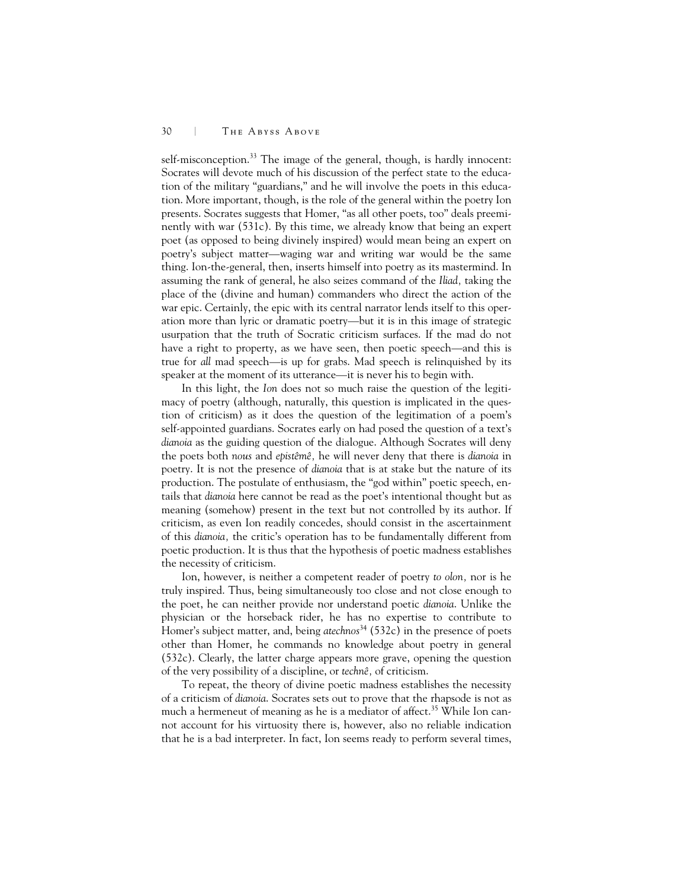self-misconception.<sup>33</sup> The image of the general, though, is hardly innocent: Socrates will devote much of his discussion of the perfect state to the education of the military "guardians," and he will involve the poets in this education. More important, though, is the role of the general within the poetry Ion presents. Socrates suggests that Homer, "as all other poets, too" deals preeminently with war (531c). By this time, we already know that being an expert poet (as opposed to being divinely inspired) would mean being an expert on poetry's subject matter—waging war and writing war would be the same thing. Ion-the-general, then, inserts himself into poetry as its mastermind. In assuming the rank of general, he also seizes command of the *Iliad,* taking the place of the (divine and human) commanders who direct the action of the war epic. Certainly, the epic with its central narrator lends itself to this operation more than lyric or dramatic poetry—but it is in this image of strategic usurpation that the truth of Socratic criticism surfaces. If the mad do not have a right to property, as we have seen, then poetic speech—and this is true for *all* mad speech—is up for grabs. Mad speech is relinquished by its speaker at the moment of its utterance—it is never his to begin with.

In this light, the *Ion* does not so much raise the question of the legitimacy of poetry (although, naturally, this question is implicated in the question of criticism) as it does the question of the legitimation of a poem's self-appointed guardians. Socrates early on had posed the question of a text's *dianoia* as the guiding question of the dialogue. Although Socrates will deny the poets both *nous* and *epistêmê,* he will never deny that there is *dianoia* in poetry. It is not the presence of *dianoia* that is at stake but the nature of its production. The postulate of enthusiasm, the "god within" poetic speech, entails that *dianoia* here cannot be read as the poet's intentional thought but as meaning (somehow) present in the text but not controlled by its author. If criticism, as even Ion readily concedes, should consist in the ascertainment of this *dianoia,* the critic's operation has to be fundamentally different from poetic production. It is thus that the hypothesis of poetic madness establishes the necessity of criticism.

Ion, however, is neither a competent reader of poetry *to olon,* nor is he truly inspired. Thus, being simultaneously too close and not close enough to the poet, he can neither provide nor understand poetic *dianoia*. Unlike the physician or the horseback rider, he has no expertise to contribute to Homer's subject matter, and, being *atechnos*<sup>34</sup> (532c) in the presence of poets other than Homer, he commands no knowledge about poetry in general (532c). Clearly, the latter charge appears more grave, opening the question of the very possibility of a discipline, or *technê,* of criticism.

To repeat, the theory of divine poetic madness establishes the necessity of a criticism of *dianoia*. Socrates sets out to prove that the rhapsode is not as much a hermeneut of meaning as he is a mediator of affect.<sup>35</sup> While Ion cannot account for his virtuosity there is, however, also no reliable indication that he is a bad interpreter. In fact, Ion seems ready to perform several times,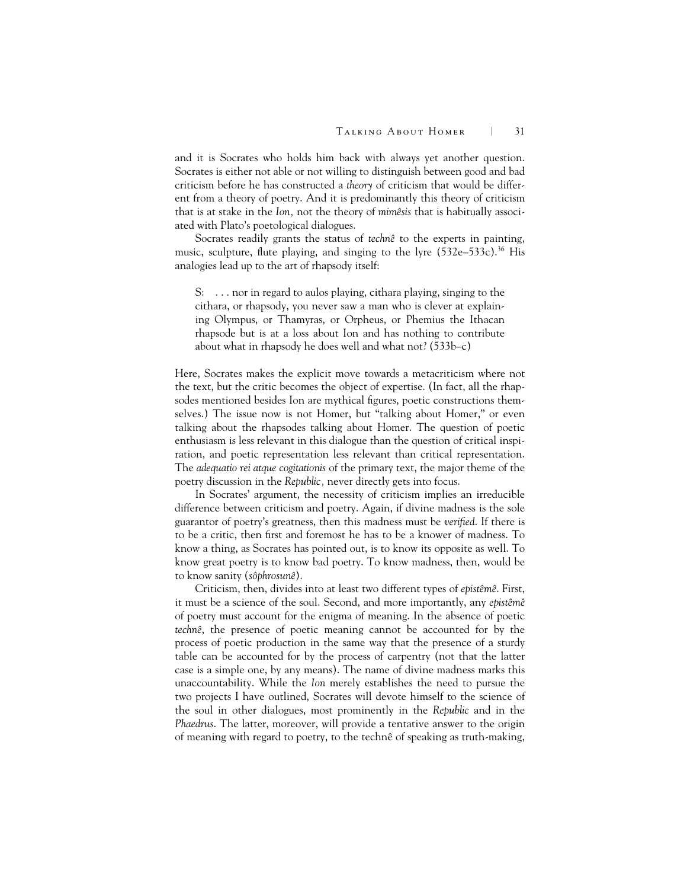and it is Socrates who holds him back with always yet another question. Socrates is either not able or not willing to distinguish between good and bad criticism before he has constructed a *theory* of criticism that would be different from a theory of poetry. And it is predominantly this theory of criticism that is at stake in the *Ion,* not the theory of *mimêsis* that is habitually associated with Plato's poetological dialogues.

Socrates readily grants the status of *technê* to the experts in painting, music, sculpture, flute playing, and singing to the lyre  $(532e-533c).$ <sup>36</sup> His analogies lead up to the art of rhapsody itself:

S: . . . nor in regard to aulos playing, cithara playing, singing to the cithara, or rhapsody, you never saw a man who is clever at explaining Olympus, or Thamyras, or Orpheus, or Phemius the Ithacan rhapsode but is at a loss about Ion and has nothing to contribute about what in rhapsody he does well and what not? (533b–c)

Here, Socrates makes the explicit move towards a metacriticism where not the text, but the critic becomes the object of expertise. (In fact, all the rhapsodes mentioned besides Ion are mythical figures, poetic constructions themselves.) The issue now is not Homer, but "talking about Homer," or even talking about the rhapsodes talking about Homer. The question of poetic enthusiasm is less relevant in this dialogue than the question of critical inspiration, and poetic representation less relevant than critical representation. The *adequatio rei atque cogitationis* of the primary text, the major theme of the poetry discussion in the *Republic,* never directly gets into focus.

In Socrates' argument, the necessity of criticism implies an irreducible difference between criticism and poetry. Again, if divine madness is the sole guarantor of poetry's greatness, then this madness must be *verified*. If there is to be a critic, then first and foremost he has to be a knower of madness. To know a thing, as Socrates has pointed out, is to know its opposite as well. To know great poetry is to know bad poetry. To know madness, then, would be to know sanity (*sôphrosunê*).

Criticism, then, divides into at least two different types of *epistêmê*. First, it must be a science of the soul. Second, and more importantly, any *epistêmê* of poetry must account for the enigma of meaning. In the absence of poetic *technê*, the presence of poetic meaning cannot be accounted for by the process of poetic production in the same way that the presence of a sturdy table can be accounted for by the process of carpentry (not that the latter case is a simple one, by any means). The name of divine madness marks this unaccountability. While the *Ion* merely establishes the need to pursue the two projects I have outlined, Socrates will devote himself to the science of the soul in other dialogues, most prominently in the *Republic* and in the *Phaedrus*. The latter, moreover, will provide a tentative answer to the origin of meaning with regard to poetry, to the technê of speaking as truth-making,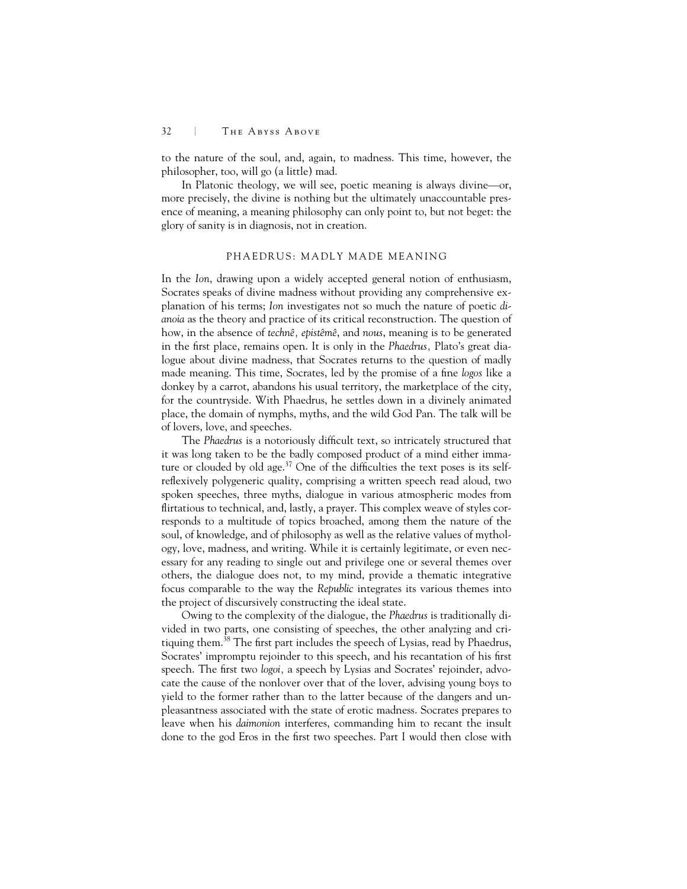to the nature of the soul, and, again, to madness. This time, however, the philosopher, too, will go (a little) mad.

In Platonic theology, we will see, poetic meaning is always divine—or, more precisely, the divine is nothing but the ultimately unaccountable presence of meaning, a meaning philosophy can only point to, but not beget: the glory of sanity is in diagnosis, not in creation.

## PHAEDRUS: MADLY MADE MEANING

In the *Ion*, drawing upon a widely accepted general notion of enthusiasm, Socrates speaks of divine madness without providing any comprehensive explanation of his terms; *Ion* investigates not so much the nature of poetic *dianoia* as the theory and practice of its critical reconstruction. The question of how, in the absence of *technê, epistêmê*, and *nous*, meaning is to be generated in the first place, remains open. It is only in the *Phaedrus,* Plato's great dialogue about divine madness, that Socrates returns to the question of madly made meaning. This time, Socrates, led by the promise of a fine *logos* like a donkey by a carrot, abandons his usual territory, the marketplace of the city, for the countryside. With Phaedrus, he settles down in a divinely animated place, the domain of nymphs, myths, and the wild God Pan. The talk will be of lovers, love, and speeches.

The *Phaedrus* is a notoriously difficult text, so intricately structured that it was long taken to be the badly composed product of a mind either immature or clouded by old age.<sup>37</sup> One of the difficulties the text poses is its selfreflexively polygeneric quality, comprising a written speech read aloud, two spoken speeches, three myths, dialogue in various atmospheric modes from flirtatious to technical, and, lastly, a prayer. This complex weave of styles corresponds to a multitude of topics broached, among them the nature of the soul, of knowledge, and of philosophy as well as the relative values of mythology, love, madness, and writing. While it is certainly legitimate, or even necessary for any reading to single out and privilege one or several themes over others, the dialogue does not, to my mind, provide a thematic integrative focus comparable to the way the *Republic* integrates its various themes into the project of discursively constructing the ideal state.

Owing to the complexity of the dialogue, the *Phaedrus* is traditionally divided in two parts, one consisting of speeches, the other analyzing and critiquing them.38 The first part includes the speech of Lysias, read by Phaedrus, Socrates' impromptu rejoinder to this speech, and his recantation of his first speech. The first two *logoi,* a speech by Lysias and Socrates' rejoinder, advocate the cause of the nonlover over that of the lover, advising young boys to yield to the former rather than to the latter because of the dangers and unpleasantness associated with the state of erotic madness. Socrates prepares to leave when his *daimonion* interferes, commanding him to recant the insult done to the god Eros in the first two speeches. Part I would then close with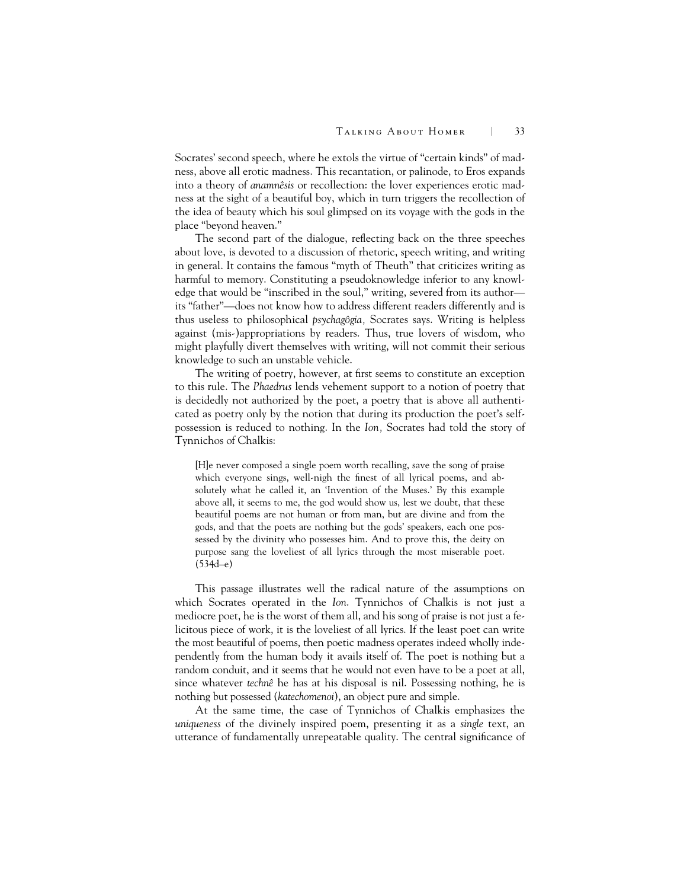Socrates' second speech, where he extols the virtue of "certain kinds" of madness, above all erotic madness. This recantation, or palinode, to Eros expands into a theory of *anamnêsis* or recollection: the lover experiences erotic madness at the sight of a beautiful boy, which in turn triggers the recollection of the idea of beauty which his soul glimpsed on its voyage with the gods in the place "beyond heaven."

The second part of the dialogue, reflecting back on the three speeches about love, is devoted to a discussion of rhetoric, speech writing, and writing in general. It contains the famous "myth of Theuth" that criticizes writing as harmful to memory. Constituting a pseudoknowledge inferior to any knowledge that would be "inscribed in the soul," writing, severed from its author its "father"—does not know how to address different readers differently and is thus useless to philosophical *psychagôgia,* Socrates says. Writing is helpless against (mis-)appropriations by readers. Thus, true lovers of wisdom, who might playfully divert themselves with writing, will not commit their serious knowledge to such an unstable vehicle.

The writing of poetry, however, at first seems to constitute an exception to this rule. The *Phaedrus* lends vehement support to a notion of poetry that is decidedly not authorized by the poet, a poetry that is above all authenticated as poetry only by the notion that during its production the poet's selfpossession is reduced to nothing. In the *Ion,* Socrates had told the story of Tynnichos of Chalkis:

[H]e never composed a single poem worth recalling, save the song of praise which everyone sings, well-nigh the finest of all lyrical poems, and absolutely what he called it, an 'Invention of the Muses.' By this example above all, it seems to me, the god would show us, lest we doubt, that these beautiful poems are not human or from man, but are divine and from the gods, and that the poets are nothing but the gods' speakers, each one possessed by the divinity who possesses him. And to prove this, the deity on purpose sang the loveliest of all lyrics through the most miserable poet. (534d–e)

This passage illustrates well the radical nature of the assumptions on which Socrates operated in the *Ion*. Tynnichos of Chalkis is not just a mediocre poet, he is the worst of them all, and his song of praise is not just a felicitous piece of work, it is the loveliest of all lyrics. If the least poet can write the most beautiful of poems, then poetic madness operates indeed wholly independently from the human body it avails itself of. The poet is nothing but a random conduit, and it seems that he would not even have to be a poet at all, since whatever *technê* he has at his disposal is nil. Possessing nothing, he is nothing but possessed (*katechomenoi*), an object pure and simple.

At the same time, the case of Tynnichos of Chalkis emphasizes the *uniqueness* of the divinely inspired poem, presenting it as a *single* text, an utterance of fundamentally unrepeatable quality. The central significance of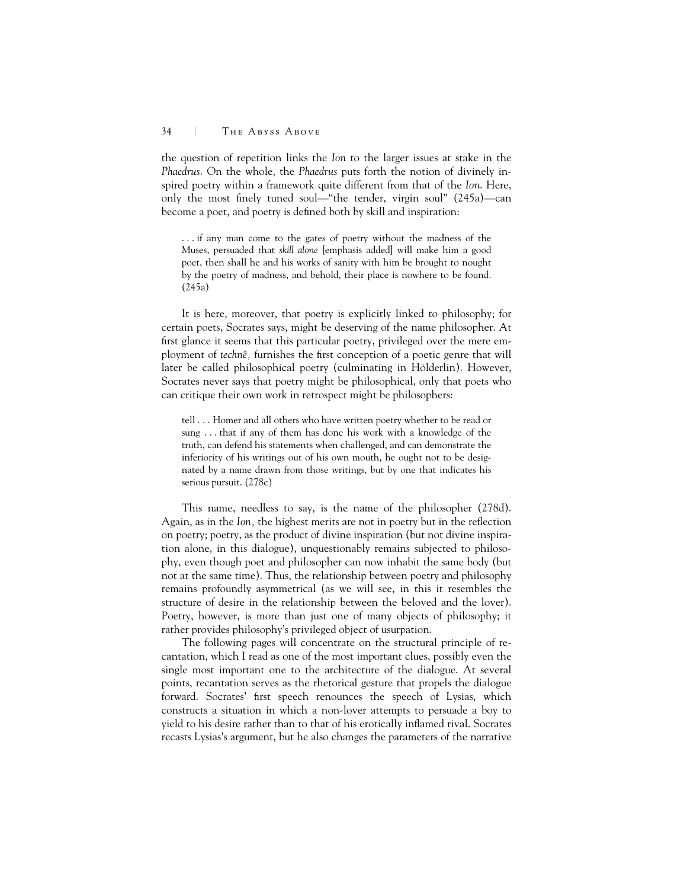the question of repetition links the *Ion* to the larger issues at stake in the *Phaedrus*. On the whole, the *Phaedrus* puts forth the notion of divinely inspired poetry within a framework quite different from that of the *Ion*. Here, only the most finely tuned soul—"the tender, virgin soul" (245a)—can become a poet, and poetry is defined both by skill and inspiration:

. . . if any man come to the gates of poetry without the madness of the Muses, persuaded that *skill alone* [emphasis added] will make him a good poet, then shall he and his works of sanity with him be brought to nought by the poetry of madness, and behold, their place is nowhere to be found. (245a)

It is here, moreover, that poetry is explicitly linked to philosophy; for certain poets, Socrates says, might be deserving of the name philosopher. At first glance it seems that this particular poetry, privileged over the mere employment of *technê,* furnishes the first conception of a poetic genre that will later be called philosophical poetry (culminating in Hölderlin). However, Socrates never says that poetry might be philosophical, only that poets who can critique their own work in retrospect might be philosophers:

tell . . . Homer and all others who have written poetry whether to be read or sung . . . that if any of them has done his work with a knowledge of the truth, can defend his statements when challenged, and can demonstrate the inferiority of his writings out of his own mouth, he ought not to be designated by a name drawn from those writings, but by one that indicates his serious pursuit. (278c)

This name, needless to say, is the name of the philosopher (278d). Again, as in the *Ion,* the highest merits are not in poetry but in the reflection on poetry; poetry, as the product of divine inspiration (but not divine inspiration alone, in this dialogue), unquestionably remains subjected to philosophy, even though poet and philosopher can now inhabit the same body (but not at the same time). Thus, the relationship between poetry and philosophy remains profoundly asymmetrical (as we will see, in this it resembles the structure of desire in the relationship between the beloved and the lover). Poetry, however, is more than just one of many objects of philosophy; it rather provides philosophy's privileged object of usurpation.

The following pages will concentrate on the structural principle of recantation, which I read as one of the most important clues, possibly even the single most important one to the architecture of the dialogue. At several points, recantation serves as the rhetorical gesture that propels the dialogue forward. Socrates' first speech renounces the speech of Lysias, which constructs a situation in which a non-lover attempts to persuade a boy to yield to his desire rather than to that of his erotically inflamed rival. Socrates recasts Lysias's argument, but he also changes the parameters of the narrative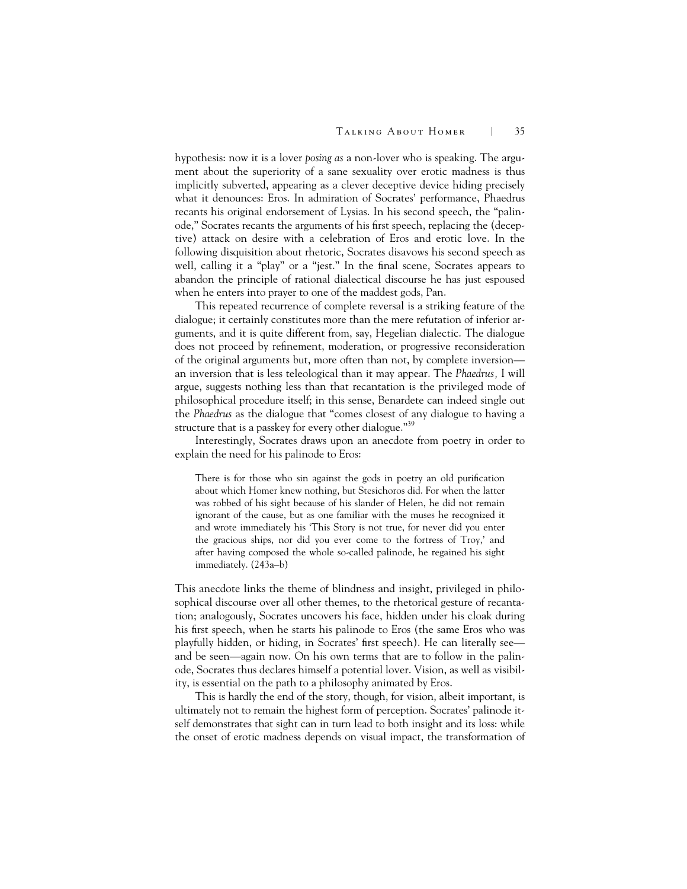hypothesis: now it is a lover *posing as* a non-lover who is speaking. The argument about the superiority of a sane sexuality over erotic madness is thus implicitly subverted, appearing as a clever deceptive device hiding precisely what it denounces: Eros. In admiration of Socrates' performance, Phaedrus recants his original endorsement of Lysias. In his second speech, the "palinode," Socrates recants the arguments of his first speech, replacing the (deceptive) attack on desire with a celebration of Eros and erotic love. In the following disquisition about rhetoric, Socrates disavows his second speech as well, calling it a "play" or a "jest." In the final scene, Socrates appears to abandon the principle of rational dialectical discourse he has just espoused when he enters into prayer to one of the maddest gods, Pan.

This repeated recurrence of complete reversal is a striking feature of the dialogue; it certainly constitutes more than the mere refutation of inferior arguments, and it is quite different from, say, Hegelian dialectic. The dialogue does not proceed by refinement, moderation, or progressive reconsideration of the original arguments but, more often than not, by complete inversion an inversion that is less teleological than it may appear. The *Phaedrus,* I will argue, suggests nothing less than that recantation is the privileged mode of philosophical procedure itself; in this sense, Benardete can indeed single out the *Phaedrus* as the dialogue that "comes closest of any dialogue to having a structure that is a passkey for every other dialogue."<sup>39</sup>

Interestingly, Socrates draws upon an anecdote from poetry in order to explain the need for his palinode to Eros:

There is for those who sin against the gods in poetry an old purification about which Homer knew nothing, but Stesichoros did. For when the latter was robbed of his sight because of his slander of Helen, he did not remain ignorant of the cause, but as one familiar with the muses he recognized it and wrote immediately his 'This Story is not true, for never did you enter the gracious ships, nor did you ever come to the fortress of Troy,' and after having composed the whole so-called palinode, he regained his sight immediately. (243a–b)

This anecdote links the theme of blindness and insight, privileged in philosophical discourse over all other themes, to the rhetorical gesture of recantation; analogously, Socrates uncovers his face, hidden under his cloak during his first speech, when he starts his palinode to Eros (the same Eros who was playfully hidden, or hiding, in Socrates' first speech). He can literally see and be seen—again now. On his own terms that are to follow in the palinode, Socrates thus declares himself a potential lover. Vision, as well as visibility, is essential on the path to a philosophy animated by Eros.

This is hardly the end of the story, though, for vision, albeit important, is ultimately not to remain the highest form of perception. Socrates' palinode itself demonstrates that sight can in turn lead to both insight and its loss: while the onset of erotic madness depends on visual impact, the transformation of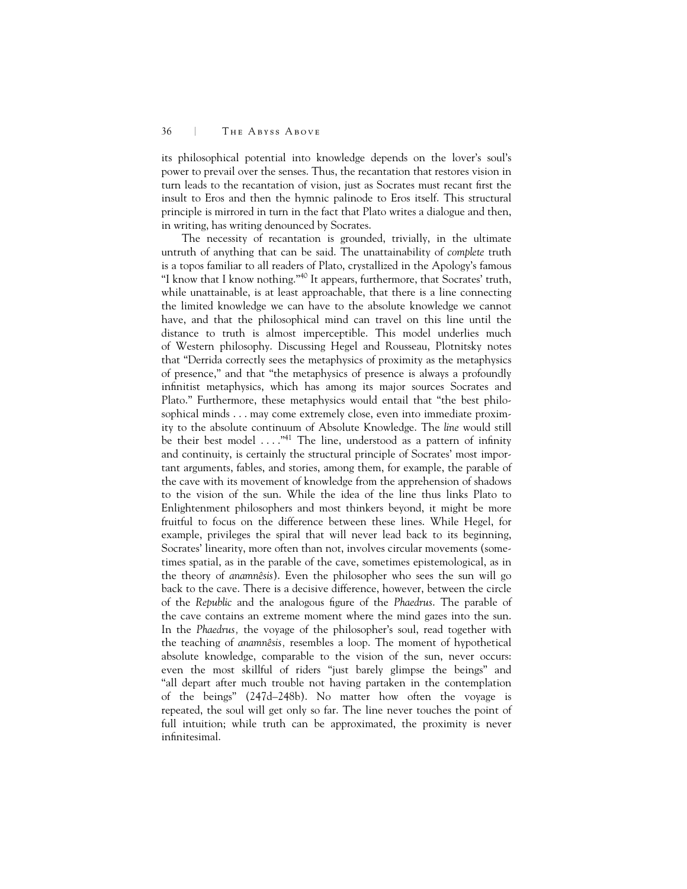its philosophical potential into knowledge depends on the lover's soul's power to prevail over the senses. Thus, the recantation that restores vision in turn leads to the recantation of vision, just as Socrates must recant first the insult to Eros and then the hymnic palinode to Eros itself. This structural principle is mirrored in turn in the fact that Plato writes a dialogue and then, in writing, has writing denounced by Socrates.

The necessity of recantation is grounded, trivially, in the ultimate untruth of anything that can be said. The unattainability of *complete* truth is a topos familiar to all readers of Plato, crystallized in the Apology's famous "I know that I know nothing."<sup>40</sup> It appears, furthermore, that Socrates' truth, while unattainable, is at least approachable, that there is a line connecting the limited knowledge we can have to the absolute knowledge we cannot have, and that the philosophical mind can travel on this line until the distance to truth is almost imperceptible. This model underlies much of Western philosophy. Discussing Hegel and Rousseau, Plotnitsky notes that "Derrida correctly sees the metaphysics of proximity as the metaphysics of presence," and that "the metaphysics of presence is always a profoundly infinitist metaphysics, which has among its major sources Socrates and Plato." Furthermore, these metaphysics would entail that "the best philosophical minds . . . may come extremely close, even into immediate proximity to the absolute continuum of Absolute Knowledge. The *line* would still be their best model  $\dots$ ."<sup>41</sup> The line, understood as a pattern of infinity and continuity, is certainly the structural principle of Socrates' most important arguments, fables, and stories, among them, for example, the parable of the cave with its movement of knowledge from the apprehension of shadows to the vision of the sun. While the idea of the line thus links Plato to Enlightenment philosophers and most thinkers beyond, it might be more fruitful to focus on the difference between these lines. While Hegel, for example, privileges the spiral that will never lead back to its beginning, Socrates' linearity, more often than not, involves circular movements (sometimes spatial, as in the parable of the cave, sometimes epistemological, as in the theory of *anamnêsis*). Even the philosopher who sees the sun will go back to the cave. There is a decisive difference, however, between the circle of the *Republic* and the analogous figure of the *Phaedrus*. The parable of the cave contains an extreme moment where the mind gazes into the sun. In the *Phaedrus,* the voyage of the philosopher's soul, read together with the teaching of *anamnêsis,* resembles a loop. The moment of hypothetical absolute knowledge, comparable to the vision of the sun, never occurs: even the most skillful of riders "just barely glimpse the beings" and "all depart after much trouble not having partaken in the contemplation of the beings" (247d–248b). No matter how often the voyage is repeated, the soul will get only so far. The line never touches the point of full intuition; while truth can be approximated, the proximity is never infinitesimal.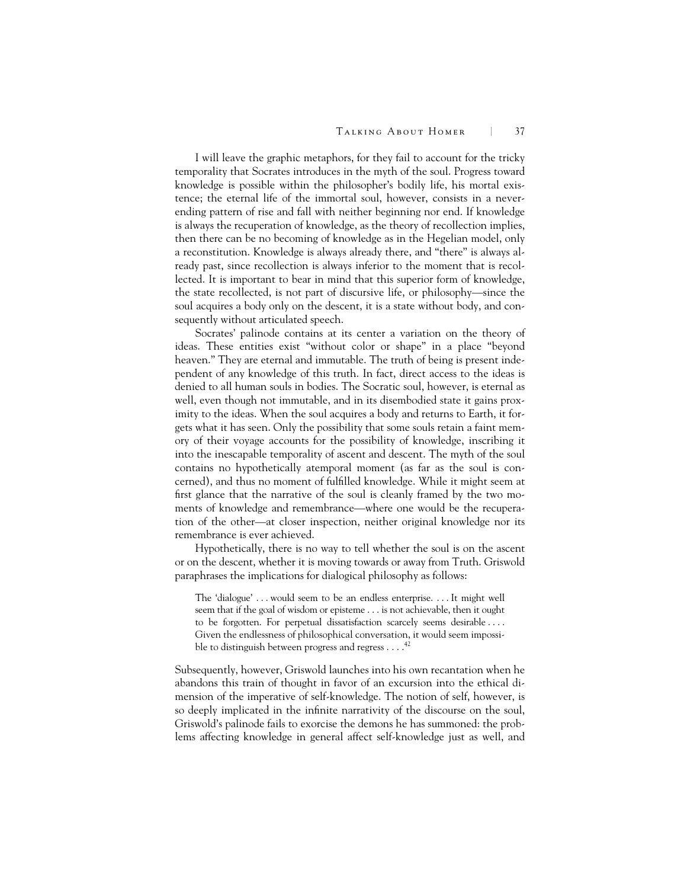#### TALKING ABOUT HOMER 37

I will leave the graphic metaphors, for they fail to account for the tricky temporality that Socrates introduces in the myth of the soul. Progress toward knowledge is possible within the philosopher's bodily life, his mortal existence; the eternal life of the immortal soul, however, consists in a neverending pattern of rise and fall with neither beginning nor end. If knowledge is always the recuperation of knowledge, as the theory of recollection implies, then there can be no becoming of knowledge as in the Hegelian model, only a reconstitution. Knowledge is always already there, and "there" is always already past, since recollection is always inferior to the moment that is recollected. It is important to bear in mind that this superior form of knowledge, the state recollected, is not part of discursive life, or philosophy—since the soul acquires a body only on the descent, it is a state without body, and consequently without articulated speech.

Socrates' palinode contains at its center a variation on the theory of ideas. These entities exist "without color or shape" in a place "beyond heaven." They are eternal and immutable. The truth of being is present independent of any knowledge of this truth. In fact, direct access to the ideas is denied to all human souls in bodies. The Socratic soul, however, is eternal as well, even though not immutable, and in its disembodied state it gains proximity to the ideas. When the soul acquires a body and returns to Earth, it forgets what it has seen. Only the possibility that some souls retain a faint memory of their voyage accounts for the possibility of knowledge, inscribing it into the inescapable temporality of ascent and descent. The myth of the soul contains no hypothetically atemporal moment (as far as the soul is concerned), and thus no moment of fulfilled knowledge. While it might seem at first glance that the narrative of the soul is cleanly framed by the two moments of knowledge and remembrance—where one would be the recuperation of the other—at closer inspection, neither original knowledge nor its remembrance is ever achieved.

Hypothetically, there is no way to tell whether the soul is on the ascent or on the descent, whether it is moving towards or away from Truth. Griswold paraphrases the implications for dialogical philosophy as follows:

The 'dialogue' . . . would seem to be an endless enterprise. . . . It might well seem that if the goal of wisdom or episteme . . . is not achievable, then it ought to be forgotten. For perpetual dissatisfaction scarcely seems desirable .... Given the endlessness of philosophical conversation, it would seem impossible to distinguish between progress and regress....42

Subsequently, however, Griswold launches into his own recantation when he abandons this train of thought in favor of an excursion into the ethical dimension of the imperative of self-knowledge. The notion of self, however, is so deeply implicated in the infinite narrativity of the discourse on the soul, Griswold's palinode fails to exorcise the demons he has summoned: the problems affecting knowledge in general affect self-knowledge just as well, and